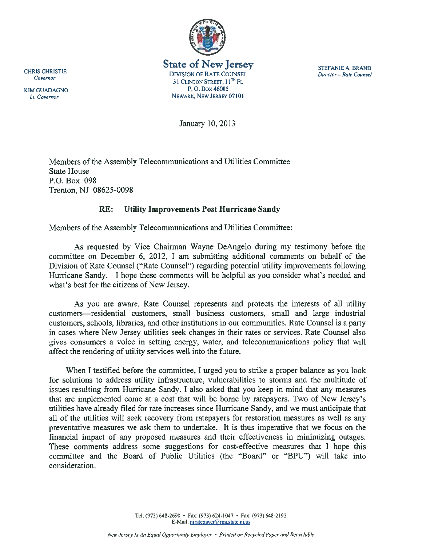

State of New Jersey<br>CHRIS CHRISTIE DIVISION OF RATE COUNSEL *STEFANIE A*, BRAND<br>*Director – Rate Counsel* 31 CLINTON STREET,  $11^{TH}$  FL KIM GUADAGNO P.O. BOX 46005 Lt. Governor NEWARK, NEW JERSEY 07101

January 10, 2013

Members of the Assembly Telecommunications and Utilities Committee State House P.O. Box 098 Trenton, NJ 08625-0098

# RE: Utility Improvements Post Hurricane Sandy

Members of the Assembly Telecommunications and Utilities Committee:

As requested by Vice Chairman Wayne DeAngelo during my testimony before the committee on December 6, 2012, <sup>I</sup> am submitting additional comments on behalf of the Division of Rate Counsel ("Rate Counsel") regarding potential utility improvements following Hurricane Sandy. I hope these comments will be helpful as you consider what's needed and what's best for the citizens of New Jersey.

As you are aware, Rate Counsel represents and protects the interests of all utility customers residential customers, small business customers, small and large industrial customers, schools, libraries, and other institutions in our communities. Rate Counsel is <sup>a</sup> party in cases where New Jersey utilities seek changes in their rates or services. Rate Counsel also gives consumers <sup>a</sup> voice in setting energy, water, and telecommunications policy that will affect the rendering of utility services well into the future.

When I testified before the committee, I urged you to strike a proper balance as you look for solutions to address utility infrastructure, vulnerabilities to storms and the multitude of issues resulting from Hurricane Sandy. <sup>I</sup> also asked that you keep in mind that any measures that are implemented come at <sup>a</sup> cost that will be borne by ratepayers. Two of New Jersey's utilities have already filed for rate increases since Hurricane Sandy, and we must anticipate that all of the utilities will seek recovery from ratepayers for restoration measures as well as any preventative measures we ask them to undertake. It is thus imperative that we focus on the financial impact of any proposed measures and their effectiveness in minimizing outages. These comments address some suggestions for cost-effective measures that I hope this committee and the Board of Public Utilities (the "Board" or "BPU") will take into consideration.

> Tel: (973) 648-2690 • Fax: (973) 624-1047 • Fax: (973) 648-2193 E-Mail: niratepayer@rpa.state.nj.us

Governor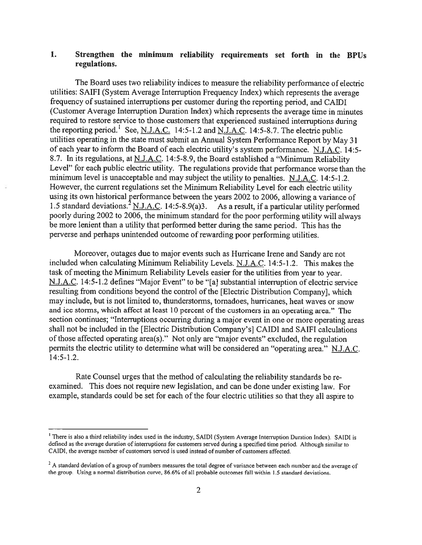## 1. Strengthen the minimum reliability requirements set forth in the BPUs regulations.

The Board uses two reliability indices to measure the reliability performance of electric utilities: SAIFI (System Average Interruption Frequency Index) which represents the average frequency of sustained interruptions per customer during the reporting period, and CAIDI (Customer Average Interruption Duration Index) which represents the average time in minutes required to restore service to those customers that experienced sustained interruptions during the reporting period.<sup>1</sup> See, N.J.A.C. 14:5-1.2 and N.J.A.C. 14:5-8.7. The electric public utilities operating in the state must submit an Annual System Performance Report by May <sup>31</sup> of each year to inform the Board of each electric utility's system performance. N.J.A.C. 14:5-8.7. In its regulations, at N.J.A.C. 14:5-8.9, the Board established <sup>a</sup> "Minimum Reliability Level" for each public electric utility. The regulations provide that performance worse than the minimum level is unacceptable and may subject the utility to penalties. N.J.A.C. 14:5-1.2. However, the current regulations set the Minimum Reliability Level for each electric utility using its own historical performance between the years 2002 to 2006, allowing a variance of 1.5 standard deviations.  $^{2}$  N.J.A.C. 14:5-8.9(a)3. As a result, if a particular utility performed poorly during <sup>2002</sup> to 2006, the minimum standard for the poor performing utility will always be more lenient than <sup>a</sup> utility that performed better during the same period. This has the perverse and perhaps unintended outcome of rewarding poor performing utilities.

Moreover, outages due to major events such as Hurricane Irene and Sandy are not included when calculating Minimum Reliability Levels. N.J.A.C. 14:5-1.2. This makes the task of meeting the Minimum Reliability Levels easier for the utilities from year to year. N.J.A.C. 14:5-1.2 defines "Major Event" to be "[a] substantial interruption of electric service resulting from conditions beyond the control of the [Electric Distribution Company], which may include, but is not limited to, thunderstorms, tornadoes, hurricanes, heat waves or snow and ice storms, which affect at least 10 percent of the customers in an operating area." The section continues; "Interruptions occurring during <sup>a</sup> major event in one or more operating areas shall not be included in the [Electric Distribution Company's] CAIDI and SAIFI calculations of those affected operating area(s)." Not only are "major events" excluded, the regulation permits the electric utility to determine what will be considered an "operating area." N.J.A.C. 14:5-1.2.

Rate Counsel urges that the method of calculating the reliability standards be re examined. This does not require new legislation, and can be done under existing law. For example, standards could be set for each of the four electric utilities so that they all aspire to

<sup>&#</sup>x27;There is also <sup>a</sup> third reliability index used in the industry, SAIDI (System Average Interruption Duration Index). SAID! is defined as the average duration of interruptions for customers served during <sup>a</sup> specified time period. Although similar to CAIDI, the average number of customers served is used instead of number of customers affected.

<sup>&</sup>lt;sup>2</sup> A standard deviation of a group of numbers measures the total degree of variance between each number and the average of the group. Using <sup>a</sup> normal distribution curve, 86.6% of all probable outcomes fall within 1.5 standard deviations.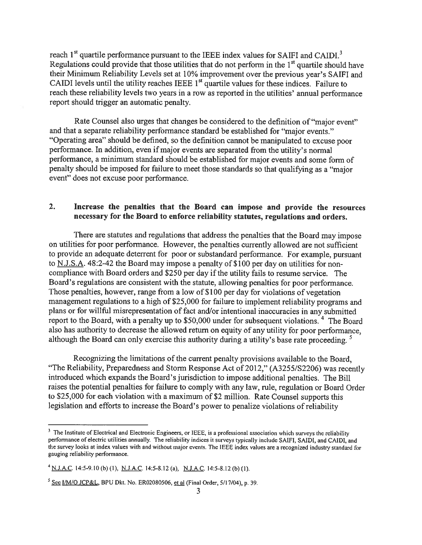reach  $1<sup>st</sup>$  quartile performance pursuant to the IEEE index values for SAIFI and CAIDI.<sup>3</sup> Regulations could provide that those utilities that do not perform in the  $1<sup>st</sup>$  quartile should have their Minimum Reliability Levels set at 10% improvement over the previous year's SAIFI and CAIDI levels until the utility reaches IEEE  $1<sup>st</sup>$  quartile values for these indices. Failure to reach these reliability levels two years in <sup>a</sup> row as reported in the utilities' annual performance report should trigger an automatic penalty.

Rate Counsel also urges that changes be considered to the definition of "major event" and that <sup>a</sup> separate reliability performance standard be established for "major events." "Operating area" should be defined, so the definition cannot be manipulated to excuse poor performance. In addition, even if major events are separated from the utility's normal performance, <sup>a</sup> minimum standard should be established for major events and some form of penalty should be imposed for failure to meet those standards so that qualifying as a "major" event" does not excuse poor performance.

#### 2. Increase the penalties that the Board can impose and provide the resources necessary for the Board to enforce reliability statutes, regulations and orders.

There are statutes and regulations that address the penalties that the Board may impose on utilities for poor performance. However, the penalties currently allowed are not sufficient to provide an adequate deterrent for poor or substandard performance. For example, pursuant to N.J.S.A. 48:2-42 the Board may impose <sup>a</sup> penalty of \$100 per day on utilities for non compliance with Board orders and \$250 per day if the utility fails to resume service. The Board's regulations are consistent with the statute, allowing penalties for poor performance. Those penalties, however, range from a low of \$100 per day for violations of vegetation management regulations to <sup>a</sup> high of \$25,000 for failure to implement reliability programs and plans or for willful misrepresentation of fact and/or intentional inaccuracies in any submitted report to the Board, with a penalty up to  $$50,000$  under for subsequent violations.<sup>4</sup> The Board also has authority to decrease the allowed return on equity of any utility for poor performance, although the Board can only exercise this authority during a utility's base rate proceeding.  $5$ 

Recognizing the limitations of the current penalty provisions available to the Board, "The Reliability, Preparedness and Storm Response Act of 2012," (A3255/S2206) was recently introduced which expands the Board's jurisdiction to impose additional penalties. The Bill raises the potential penalties for failure to comply with any law, rule, regulation or Board Order to \$25,000 for each violation with <sup>a</sup> maximum of \$2 million. Rate Counsel supports this legislation and efforts to increase the Board's power to penalize violations of reliability

<sup>&</sup>lt;sup>3</sup> The Institute of Electrical and Electronic Engineers, or IEEE, is a professional association which surveys the reliability performance of electric utilities annually. The reliability indices it surveys typically include SAIFI, SAIDI, and CAIDI, and the survey looks at index values with and without major events. The IEEE index values are <sup>a</sup> recognized industry standard for gauging reliability performance.

<sup>&</sup>lt;sup>4</sup> N.J.A.C. 14:5-9.10 (b) (1), <u>N.J.A.C.</u> 14:5-8.12 (a), N.J.A.C. 14:5-8.12 (b) (1).

 $<sup>5</sup>$  See I/M/O JCP&L, BPU Dkt. No. ER02080506, et al (Final Order, 5/17/04), p. 39.</sup>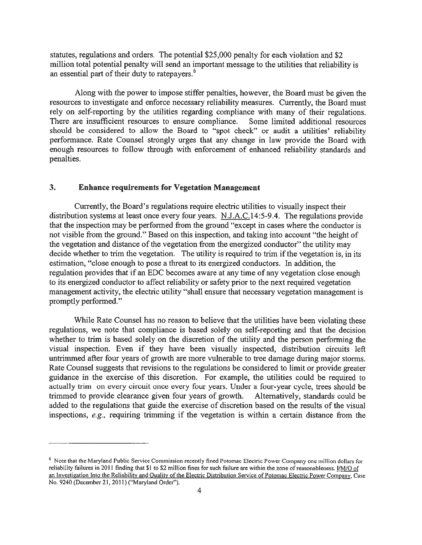statutes, regulations and orders. The potential \$25,000 penalty for each violation and \$2 million total potential penalty will send an important message to the utilities that reliability is an essential part of their duty to ratepayers.<sup>6</sup>

Along with the power to impose stiffer penalties, however, the Board must be given the resources to investigate and enforce necessary reliability measures. Currently, the Board must rely on self-reporting by the utilities regarding compliance with many of their regulations. There are insufficient resources to ensure compliance. Some limited additional resources should be considered to allow the Board to "spot check" or audit <sup>a</sup> utilities' reliability performance. Rate Counsel strongly urges that any change in law provide the Board with enough resources to follow through with enforcement of enhanced reliability standards and penalties.

#### 3. Enhance requirements for Vegetation Management

Currently, the Board's regulations require electric utilities to visually inspect their distribution systems at least once every four years. N.J.A.C.14:5-9.4. The regulations provide that the inspection may be performed from the ground "except in cases where the conductor is not visible from the ground." Based on this inspection, and taking into account "the height of the vegetation and distance of the vegetation from the energized conductor" the utility may decide whether to trim the vegetation. The utility is required to trim if the vegetation is, in its estimation, "close enough to pose <sup>a</sup> threat to its energized conductors. In addition, the regulation provides that if an EDC becomes aware at any time of any vegetation close enough to its energized conductor to affect reliability or safety prior to the next required vegetation management activity, the electric utility "shall ensure that necessary vegetation management is promptly performed."

While Rate Counsel has no reason to believe that the utilities have been violating these regulations, we note that compliance is based solely on self-reporting and that the decision whether to trim is based solely on the discretion of the utility and the person performing the visual inspection. Even if they have been visually inspected, distribution circuits left untrimmed after four years of growth are more vulnerable to tree damage during major storms. Rate Counsel suggests that revisions to the regulations be considered to limit or provide greater guidance in the exercise of this discretion. For example, the utilities could be required to actually trim on every circuit once every four years. Under <sup>a</sup> four-year cycle, trees should be trimmed to provide clearance given four years of growth. Alternatively, standards could be added to the regulations that guide the exercise of discretion based on the results of the visual inspections, e.g., requiring trimming if the vegetation is within <sup>a</sup> certain distance from the

<sup>6</sup> Note that the Maryland Public Service Commission recently fined Potomac Electric Power Company one million dollars for reliability failures in 2011 finding that \$1 to \$2 million fines for such failure are within the zone of reasonableness. *I/M/O of* an Investigation Into the Reliability and Oualitv of the Electric Distribution Service of Potomac Electric Power Company, Case No. 9240 (December 21, 2011) ("Maryland Order").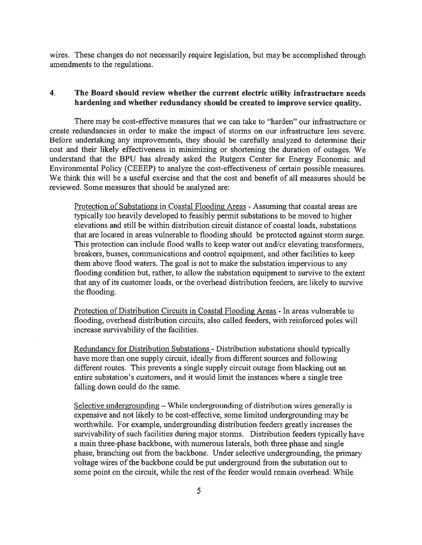wires. These changes do not necessarily require legislation, but may be accomplished through amendments to the regulations.

### 4. The Board should review whether the current electric utility infrastructure needs hardening and whether redundancy should be created to improve service quality.

There may be cost-effective measures that we can take to "harden" our infrastructure or create redundancies in order to make the impact of storms on our infrastructure less severe. Before undertaking any improvements, they should be carefully analyzed to determine their cost and their likely effectiveness in minimizing or shortening the duration of outages. We understand that the BPU has already asked the Rutgers Center for Energy Economic and Environmental Policy (CEEEP) to analyze the cost-effectiveness of certain possible measures. We think this will be a useful exercise and that the cost and benefit of all measures should be reviewed. Some measures that should be analyzed are:

Protection of Substations in Coastal Flooding Areas - Assuming that coastal areas are typically too heavily developed to feasibly permit substations to be moved to higher elevations and still be within distribution circuit distance of coastal loads, substations that are located in areas vulnerable to flooding should be protected against storm surge. This protection can include flood walls to keep water out and/or elevating transformers, breakers, busses, communications and control equipment, and other facilities to keep them above flood waters. The goal is not to make the substation impervious to any flooding condition but, rather, to allow the substation equipment to survive to the extent that any of its customer loads, or the overhead distribution feeders, are likely to survive the flooding.

Protection of Distribution Circuits in Coastal Flooding Areas - In areas vulnerable to flooding, overhead distribution circuits, also called feeders, with reinforced poles will increase survivability of the facilities.

Redundancy for Distribution Substations - Distribution substations should typically have more than one supply circuit, ideally from different sources and following different routes. This prevents <sup>a</sup> single supply circuit outage from blacking out an entire substation's customers, and it would limit the instances where <sup>a</sup> single tree falling down could do the same.

Selective undergrounding — While undergrounding of distribution wires generally is expensive and not likely to be cost-effective, some limited undergrounding may be worthwhile. For example, undergrounding distribution feeders greatly increases the survivability of such facilities during major storms. Distribution feeders typically have <sup>a</sup> main three-phase backbone, with numerous laterals, both three phase and single phase, branching out from the backbone. Under selective undergrounding, the primary voltage wires of the backbone could be put underground from the substation out to some point on the circuit, while the rest of the feeder would remain overhead. While